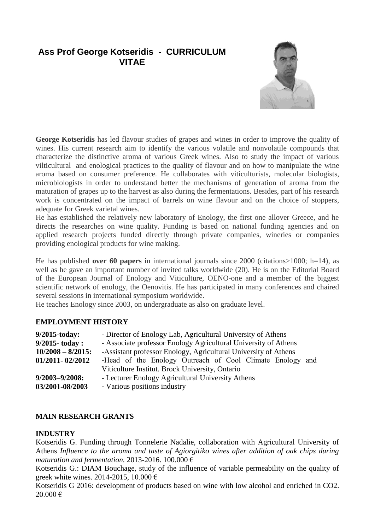# **Ass Prof George Kotseridis - CURRICULUM VITAE**



**George Kotseridis** has led flavour studies of grapes and wines in order to improve the quality of wines. His current research aim to identify the various volatile and nonvolatile compounds that characterize the distinctive aroma of various Greek wines. Also to study the impact of various vilticultural and enological practices to the quality of flavour and on how to manipulate the wine aroma based on consumer preference. He collaborates with viticulturists, molecular biologists, microbiologists in order to understand better the mechanisms of generation of aroma from the maturation of grapes up to the harvest as also during the fermentations. Besides, part of his research work is concentrated on the impact of barrels on wine flavour and on the choice of stoppers, adequate for Greek varietal wines.

He has established the relatively new laboratory of Enology, the first one allover Greece, and he directs the researches on wine quality. Funding is based on national funding agencies and on applied research projects funded directly through private companies, wineries or companies providing enological products for wine making.

He has published **over 60 papers** in international journals since 2000 (citations>1000; h=14), as well as he gave an important number of invited talks worldwide (20). He is on the Editorial Board of the European Journal of Enology and Viticulture, OENO-one and a member of the biggest scientific network of enology, the Oenovitis. He has participated in many conferences and chaired several sessions in international symposium worldwide.

He teaches Enology since 2003, on undergraduate as also on graduate level.

# **EMPLOYMENT HISTORY**

| $9/2015$ -today:     | - Director of Enology Lab, Agricultural University of Athens    |
|----------------------|-----------------------------------------------------------------|
| $9/2015$ - today:    | - Associate professor Enology Agricultural University of Athens |
| $10/2008 - 8/2015$ : | -Assistant professor Enology, Agricultural University of Athens |
| $01/2011 - 02/2012$  | -Head of the Enology Outreach of Cool Climate Enology and       |
|                      | Viticulture Institut. Brock University, Ontario                 |
| $9/2003 - 9/2008$ :  | - Lecturer Enology Agricultural University Athens               |
| 03/2001-08/2003      | - Various positions industry                                    |

### **MAIN RESEARCH GRANTS**

### **INDUSTRY**

Kotseridis G. Funding through Tonnelerie Nadalie, collaboration with Agricultural University of Athens *Influence to the aroma and taste of Agiorgitiko wines after addition of oak chips during maturation and fermentation.* 2013-2016. 100.000 €

Kotseridis G.: DIAM Bouchage, study of the influence of variable permeability on the quality of greek white wines. 2014-2015, 10.000  $\epsilon$ 

Kotseridis G 2016: development of products based on wine with low alcohol and enriched in CO2. 20.000 €